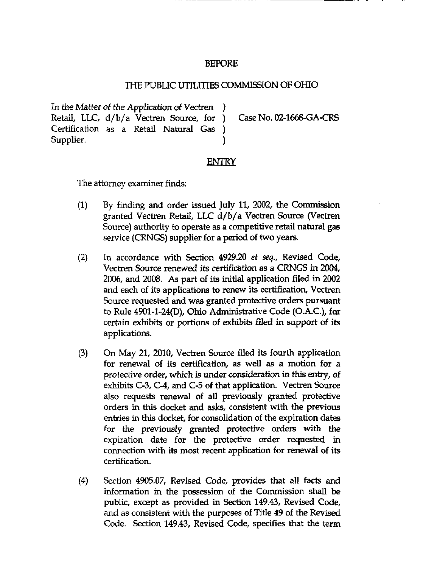## BEFORE

## THE PUBUC UTILITIES COMMISSION OF OHIO

In the Matter of the Application of Vectren Retail, LLC, d/b/a Vectren Source, for ) Case No. 02-1668-GA-CRS Certification as a Retail Natural Gas ) Supplier.

## **ENTRY**

)

The attorney examiner finds:

- $(1)$  By finding and order issued July 11, 2002, the Commission granted Vectren Retail, LLC d/b/a Vectren Source (Vectren Source) authority to operate as a competitive retail natural gas service (CRNGS) supplier for a period of two years.
- (2) In accordance with Section 4929.20 et seq,, Revised Code, Vectren Source renewed its certification as a CRNGS in 2004, 2006, and 2008. As part of its initial application filed m 2002 and each of its applications to renew its certification, Vectren Source requested and was granted protective orders pursuant to Rule 4901-1-24(D), Ohio Administrative Code (O.A.C.), for certain exhibits or portions of exhibits filed in support of its applications.
- (3) On May 21, 2010, Vectren Source filed its fourth application for renewal of its certification, as well as a motion for a protective order, which is under consideration in this entry, of exhibits C-3, C-4, and C-5 of that application. Vectren Source also requests renewal of all previously granted protective orders in this docket and asks, consistent with the previous entries in this docket, for consolidation of the expiration dates for the previously granted protective orders with the expiration date for the protective order requested in cormection with its most recent application for renewal of its certification.
- (4) Section 4905.07, Revised Code, provides that all facts and information in the possession of the Commission shall be public, except as provided in Section 149.43, Revised Code, and as consistent with the purposes of Titie 49 of the Revised Code. Section 149.43, Revised Code, specifies that the term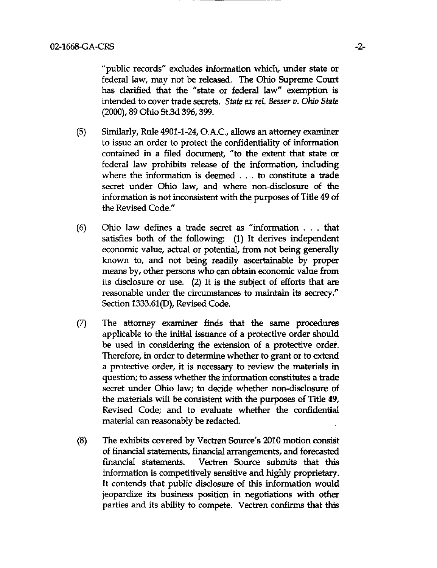''public records" excludes information which, under state or federal law, may not be released. The Ohio Supreme Court has clarified that the "state or federal law" exemption is intended to cover trade secrets. State ex rel. Besser v. Ohio State (2000), 89 Ohio St.3d 396,399.

- (5) Similarly, Rule 4901-1-24, O.A.C., allows an attorney examiner to issue an order to protect the confidentiality of information contained in a filed document, "to the extent that state or federal law prohibits release of the information, including where the information is deemed .. . to constitute a trade secret under Ohio law, and where non-disclosure of the information is not inconsistent with the purposes of Titie 49 of the Revised Code."
- (6) Ohio law defines a trade secret as "information . . . that satisfies both of the following: (1) It derives independent economic value, actual or potential, from not being generally known to, and not being readily ascertainable by proper means by, other persons who can obtain economic value from its disclosure or use. (2) It is the subject of efforts that are reasonable under the circumstances to maintain its secrecy." Section 1333.61(D), Revised Code.
- (7) The attomey examiner finds that the same procedures applicable to the initial issuance of a protective order should be used in considering the extension of a protective order. Therefore, in order to determine whether to grant or to extend a protective order, it is necessary to review the materials in question; to assess whether the information constitutes a trade secret under Ohio law; to decide whether non-disclosure of the materials will be consistent with the purposes of Titie 49, Revised Code; and to evaluate whether the confidential material can reasonably be redacted.
- (8) The exhibits covered by Vectren Source's 2010 motion consist of financial statements, financial arrangements, and forecasted financial statements. Vectren Source submits that this information is competitively sensitive and highly proprietary. It contends that public disclosure of this information would jeopardize its business position in negotiations with other parties and its ability to compete. Vectren confirms that this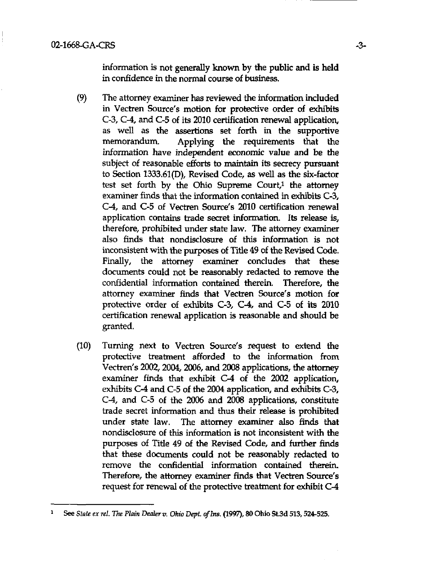information is not generally known by the public and is held in confidence in the normal course of business.

- (9) The attomey examiner has reviewed the information included in Vectren Source's motion for protective order of exhibits C-3, C-4, and C-5 of its 2010 certification renewal application, as well as the assertions set forth in the supportive memorandum. Applying the requirements that the information have independent economic value and be the subject of reasonable efforts to maintain its secrecy pursuant to Section 1333.61(D), Revised Code, as well as the six-factor test set forth by the Ohio Supreme Court, $1$  the attorney examiner finds that the information contained in exhibits C-3, C-4, and C-5 of Vectren Source's 2010 certification renewal application contains trade secret information. Its release is, therefore, prohibited under state law. The attorney examiner also finds that nondisclosure of this information is not inconsistent with the purposes of Title 49 of the Revised Code. Finally, the attorney examiner concludes that these documents could not be reasonably redacted to remove the confidential information contained therein. Therefore, the attorney examiner finds that Vectren Source's motion for protective order of exhibits C-3, C-4, and C-5 of its 2010 certification renewal application is reasonable and should be granted.
- (10) Turning next to Vectren Source's request to extend the protective treatment afforded to the information from Vectren's 2002, 2004, 2006, and 2008 applications, the attomey examiner finds that exhibit C-4 of the 2002 application, exhibits C-4 and C-5 of the 2004 application, and exhibits C-3, C-4, and C-5 of the 2006 and 2008 applications, constitute trade secret information and thus their release is prohibited under state law. The attomey examiner also finds that nondisclosure of this information is not inconsistent with the purposes of Titie 49 of the Revised Code, and further finds that these documents could not be reasonably redacted to remove the confidential information contained therein. Therefore, the attomey examiner finds that Vectren Source's request for renewal of the protective treatment for exhibit C-4

See State ex rel. The Plain Dealer v. Ohio Dept. of Ins. (1997), 80 Ohio St.3d 513, 524-525.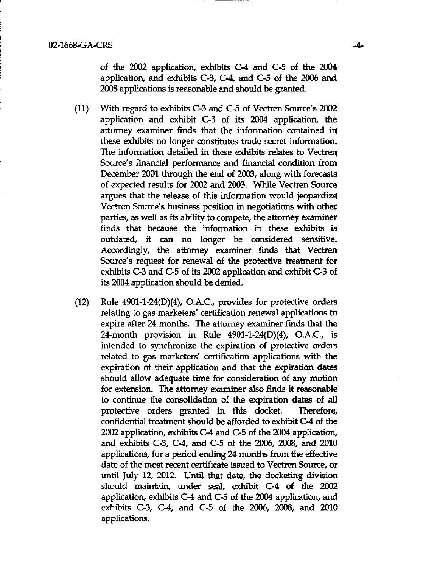of the 2002 application, exhibits C-4 and C-5 of the  $2004$ application, and exhibits C-3, C-4, and C-5 of the 2006 and 2008 applications is reasonable and should be granted.

- (11) With regard to exhibits C-3 and C-5 of Vectren Source's 2002 application and exhibit C-3 of its 2004 application, the attomey examiner finds that the information contained in these exhibits no longer constitutes trade secret information. The information detailed in these exhibits relates to Vectren Source's financial performance and financial condition from December 2001 through the end of 2003, along with forecasts of expected results for 2002 and 2003. While Vectren Source argues that the release of this information would jeopardize Vectren Source's business position in negotiations with other parties, as well as its ability to compete, the attomey examiner finds that because the information in these exhibits is outdated, it can no longer be considered sensitive. Accordingly, the attorney examiner finds that Vectren Source's request for renewal of the protective treatment for exhibits C-3 and C-5 of its 2002 application and exhibit C-3 of its 2004 application should be denied.
- (12) Rule 4901-1-24(D)(4), O.A.C, provides for protective orders relating to gas marketers' certification renewal applications to expire after 24 months. The attomey examiner finds that the 24-month provision in Rule 4901-1-24(D)(4), O.A.C, is intended to synchronize the expiration of protective orders related to gas marketers' certification applications with the expiration of their application and that the expiration dates should allow adequate time for consideration of any motion for extension. The attomey examiner also finds it reasonable to continue the consolidation of the expiration dates of all protective orders granted in this docket. Therefore, confidential treatment should be afforded to exhibit  $C-4$  of the 2002 application, exhibits C-4 and C-5 of the 2004 application, and exhibits  $C-3$ ,  $C-4$ , and  $C-5$  of the 2006, 2008, and 2010 applications, for a period ending 24 months from the effective date of the most recent certificate issued to Vectren Source, or until July 12, 2012. Until that date, the docketing division should maintain, under seal, exhibit C-4 of the 2002 application, exhibits C-4 and C-5 of the 2004 application, and exhibits C-3, C-4, and C-5 of the 2006, 2008, and 2010 applications.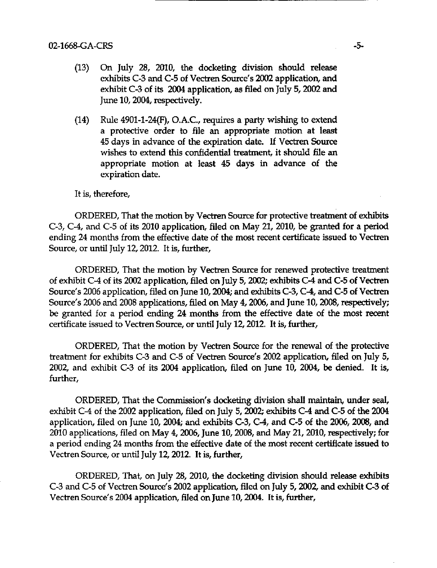- (13) On July 28, 2010, the docketing division should release exhibits C-3 and C-5 of Vectren Source's 2002 application, and exhibit C-3 of its 2004 application, as filed on July 5,2002 and June 10,2004, respectively.
- $(14)$  Rule 4901-1-24(F), O.A.C., requires a party wishing to extend a protective order to file an appropriate motion at least 45 days in advance of the expiration date. If Vectren Source wishes to extend this confidential treatment, it should file an appropriate motion at least 45 days in advance of the expiration date.

It is, therefore,

ORDERED, That the motion by Vectren Source for protective treatment of exhibits C-3, C-4, and C-5 of its 2010 application, filed on May 21, 2010, be granted for a period ending 24 months from the effective date of the most recent certificate issued to Vectren Source, or until July 12,2012. It is, further,

ORDERED, That the motion by Vectren Source for renewed protective treatment of exhibit C-4 of its 2002 application, filed on July 5,2002; exhibits C-4 and C-5 of Vectren Source's 2006 application, filed on June 10, 2004; and exhibits C-3, C-4, and C-5 of Vectren Source's 2006 and 2008 applications, filed on May 4,2006, and June 10,2008, respectively; be granted for a period ending 24 months from the effective date of the most recent certificate issued to Vectren Source, or until July 12, 2012. It is, further,

ORDERED, That the motion by Vectren Source for the renewal of the protective treatment for exhibits C-3 and C-5 of Vectren Source's 2002 application, filed on July 5, 2002, and exhibit C-3 of its 2004 application, filed on June 10, 2004, be denied. It is, further,

ORDERED, That the Commission's docketing division shall maintain, under seal, exhibit C-4 of the 2002 application, filed on July 5, 2002; exhibits C-4 and C-5 of the 2004 application, filed on June 10, 2004; and exhibits C-3, C-4, and C-5 of the 2006, 2008, and 2010 applications, filed on May 4, 2006, June 10, 2008, and May 21, 2010, respectively; for a period ending 24 months from the effective date of the most recent certificate issued to Vectren Source, or imtil July 12,2012. It is, further,

ORDERED, That, on July 28, 2010, the docketing division should release exhibits C-3 and C-5 of Vectren Source's 2002 application, filed on July 5,2002, and exhibit C-3 of Vectren Source's 2004 application, filed on June 10,2004. It is, further.